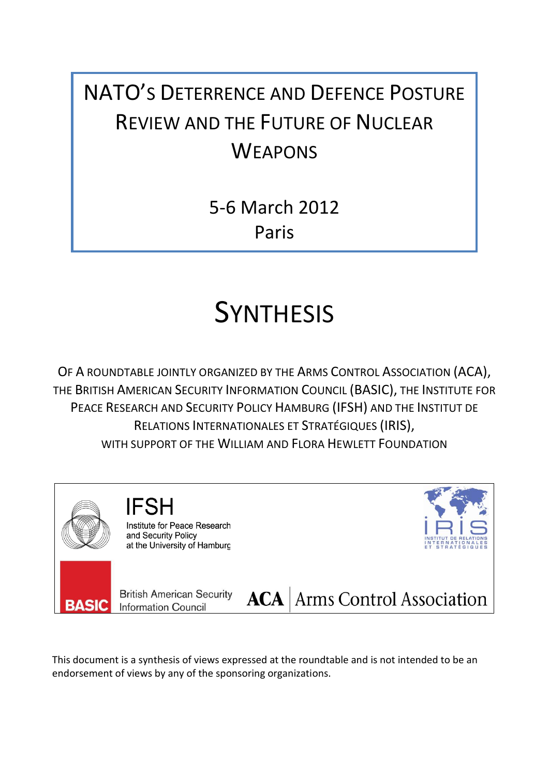## NATO'S DETERRENCE AND DEFENCE POSTURE REVIEW AND THE FUTURE OF NUCLEAR **WEAPONS**

5-6 March 2012 Paris

# **SYNTHESIS**

OF A ROUNDTABLE JOINTLY ORGANIZED BY THE ARMS CONTROL ASSOCIATION (ACA), THE BRITISH AMERICAN SECURITY INFORMATION COUNCIL (BASIC), THE INSTITUTE FOR PEACE RESEARCH AND SECURITY POLICY HAMBURG (IFSH) AND THE INSTITUT DE RELATIONS INTERNATIONALES ET STRATÉGIQUES (IRIS), WITH SUPPORT OF THE WILLIAM AND FLORA HEWLETT FOUNDATION



This document is a synthesis of views expressed at the roundtable and is not intended to be an endorsement of views by any of the sponsoring organizations.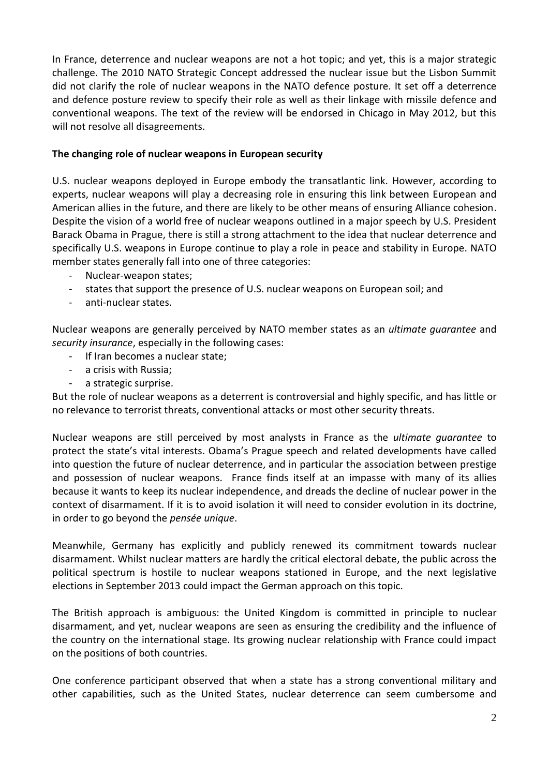In France, deterrence and nuclear weapons are not a hot topic; and yet, this is a major strategic challenge. The 2010 NATO Strategic Concept addressed the nuclear issue but the Lisbon Summit did not clarify the role of nuclear weapons in the NATO defence posture. It set off a deterrence and defence posture review to specify their role as well as their linkage with missile defence and conventional weapons. The text of the review will be endorsed in Chicago in May 2012, but this will not resolve all disagreements.

### **The changing role of nuclear weapons in European security**

U.S. nuclear weapons deployed in Europe embody the transatlantic link. However, according to experts, nuclear weapons will play a decreasing role in ensuring this link between European and American allies in the future, and there are likely to be other means of ensuring Alliance cohesion. Despite the vision of a world free of nuclear weapons outlined in a major speech by U.S. President Barack Obama in Prague, there is still a strong attachment to the idea that nuclear deterrence and specifically U.S. weapons in Europe continue to play a role in peace and stability in Europe. NATO member states generally fall into one of three categories:

- Nuclear-weapon states;
- states that support the presence of U.S. nuclear weapons on European soil; and
- anti-nuclear states.

Nuclear weapons are generally perceived by NATO member states as an *ultimate guarantee* and *security insurance*, especially in the following cases:

- If Iran becomes a nuclear state;
- a crisis with Russia;
- a strategic surprise.

But the role of nuclear weapons as a deterrent is controversial and highly specific, and has little or no relevance to terrorist threats, conventional attacks or most other security threats.

Nuclear weapons are still perceived by most analysts in France as the *ultimate guarantee* to protect the state's vital interests. Obama's Prague speech and related developments have called into question the future of nuclear deterrence, and in particular the association between prestige and possession of nuclear weapons. France finds itself at an impasse with many of its allies because it wants to keep its nuclear independence, and dreads the decline of nuclear power in the context of disarmament. If it is to avoid isolation it will need to consider evolution in its doctrine, in order to go beyond the *pensée unique*.

Meanwhile, Germany has explicitly and publicly renewed its commitment towards nuclear disarmament. Whilst nuclear matters are hardly the critical electoral debate, the public across the political spectrum is hostile to nuclear weapons stationed in Europe, and the next legislative elections in September 2013 could impact the German approach on this topic.

The British approach is ambiguous: the United Kingdom is committed in principle to nuclear disarmament, and yet, nuclear weapons are seen as ensuring the credibility and the influence of the country on the international stage. Its growing nuclear relationship with France could impact on the positions of both countries.

One conference participant observed that when a state has a strong conventional military and other capabilities, such as the United States, nuclear deterrence can seem cumbersome and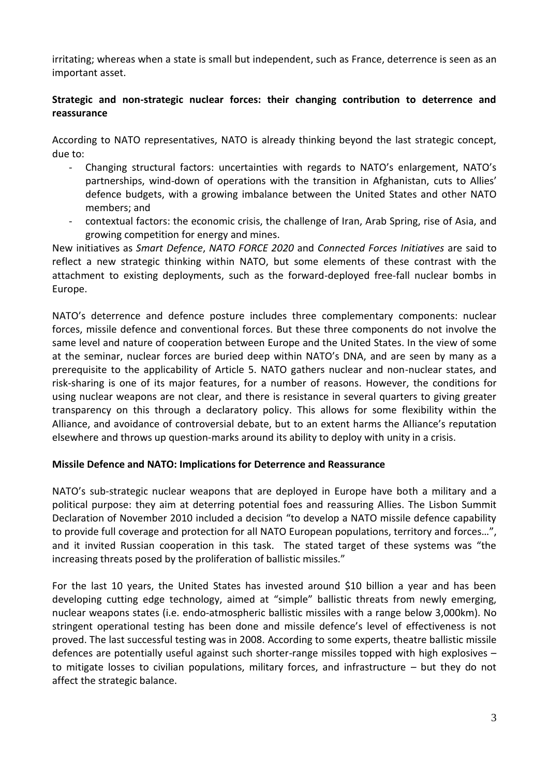irritating; whereas when a state is small but independent, such as France, deterrence is seen as an important asset.

#### **Strategic and non-strategic nuclear forces: their changing contribution to deterrence and reassurance**

According to NATO representatives, NATO is already thinking beyond the last strategic concept, due to:

- Changing structural factors: uncertainties with regards to NATO's enlargement, NATO's partnerships, wind-down of operations with the transition in Afghanistan, cuts to Allies' defence budgets, with a growing imbalance between the United States and other NATO members; and
- contextual factors: the economic crisis, the challenge of Iran, Arab Spring, rise of Asia, and growing competition for energy and mines.

New initiatives as *Smart Defence*, *NATO FORCE 2020* and *Connected Forces Initiatives* are said to reflect a new strategic thinking within NATO, but some elements of these contrast with the attachment to existing deployments, such as the forward-deployed free-fall nuclear bombs in Europe.

NATO's deterrence and defence posture includes three complementary components: nuclear forces, missile defence and conventional forces. But these three components do not involve the same level and nature of cooperation between Europe and the United States. In the view of some at the seminar, nuclear forces are buried deep within NATO's DNA, and are seen by many as a prerequisite to the applicability of Article 5. NATO gathers nuclear and non-nuclear states, and risk-sharing is one of its major features, for a number of reasons. However, the conditions for using nuclear weapons are not clear, and there is resistance in several quarters to giving greater transparency on this through a declaratory policy. This allows for some flexibility within the Alliance, and avoidance of controversial debate, but to an extent harms the Alliance's reputation elsewhere and throws up question-marks around its ability to deploy with unity in a crisis.

#### **Missile Defence and NATO: Implications for Deterrence and Reassurance**

NATO's sub-strategic nuclear weapons that are deployed in Europe have both a military and a political purpose: they aim at deterring potential foes and reassuring Allies. The Lisbon Summit Declaration of November 2010 included a decision "to develop a NATO missile defence capability to provide full coverage and protection for all NATO European populations, territory and forces…", and it invited Russian cooperation in this task. The stated target of these systems was "the increasing threats posed by the proliferation of ballistic missiles."

For the last 10 years, the United States has invested around \$10 billion a year and has been developing cutting edge technology, aimed at "simple" ballistic threats from newly emerging, nuclear weapons states (i.e. endo-atmospheric ballistic missiles with a range below 3,000km). No stringent operational testing has been done and missile defence's level of effectiveness is not proved. The last successful testing was in 2008. According to some experts, theatre ballistic missile defences are potentially useful against such shorter-range missiles topped with high explosives – to mitigate losses to civilian populations, military forces, and infrastructure – but they do not affect the strategic balance.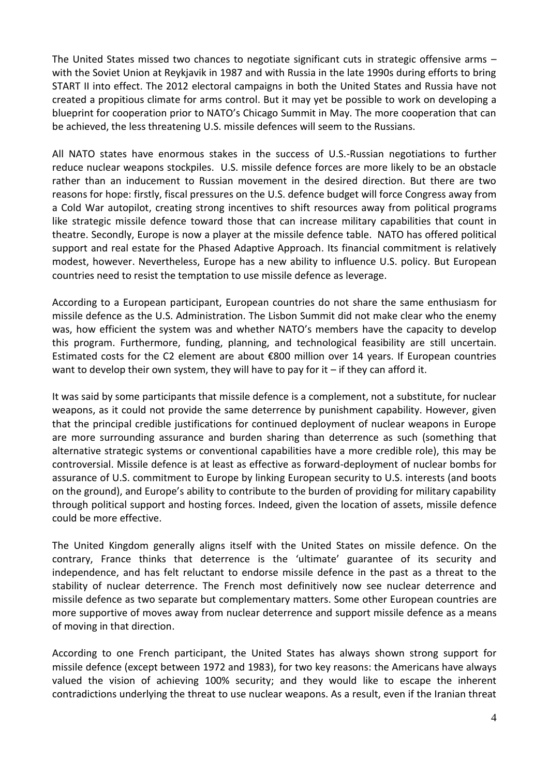The United States missed two chances to negotiate significant cuts in strategic offensive arms – with the Soviet Union at Reykjavik in 1987 and with Russia in the late 1990s during efforts to bring START II into effect. The 2012 electoral campaigns in both the United States and Russia have not created a propitious climate for arms control. But it may yet be possible to work on developing a blueprint for cooperation prior to NATO's Chicago Summit in May. The more cooperation that can be achieved, the less threatening U.S. missile defences will seem to the Russians.

All NATO states have enormous stakes in the success of U.S.-Russian negotiations to further reduce nuclear weapons stockpiles. U.S. missile defence forces are more likely to be an obstacle rather than an inducement to Russian movement in the desired direction. But there are two reasons for hope: firstly, fiscal pressures on the U.S. defence budget will force Congress away from a Cold War autopilot, creating strong incentives to shift resources away from political programs like strategic missile defence toward those that can increase military capabilities that count in theatre. Secondly, Europe is now a player at the missile defence table. NATO has offered political support and real estate for the Phased Adaptive Approach. Its financial commitment is relatively modest, however. Nevertheless, Europe has a new ability to influence U.S. policy. But European countries need to resist the temptation to use missile defence as leverage.

According to a European participant, European countries do not share the same enthusiasm for missile defence as the U.S. Administration. The Lisbon Summit did not make clear who the enemy was, how efficient the system was and whether NATO's members have the capacity to develop this program. Furthermore, funding, planning, and technological feasibility are still uncertain. Estimated costs for the C2 element are about €800 million over 14 years. If European countries want to develop their own system, they will have to pay for it  $-$  if they can afford it.

It was said by some participants that missile defence is a complement, not a substitute, for nuclear weapons, as it could not provide the same deterrence by punishment capability. However, given that the principal credible justifications for continued deployment of nuclear weapons in Europe are more surrounding assurance and burden sharing than deterrence as such (something that alternative strategic systems or conventional capabilities have a more credible role), this may be controversial. Missile defence is at least as effective as forward-deployment of nuclear bombs for assurance of U.S. commitment to Europe by linking European security to U.S. interests (and boots on the ground), and Europe's ability to contribute to the burden of providing for military capability through political support and hosting forces. Indeed, given the location of assets, missile defence could be more effective.

The United Kingdom generally aligns itself with the United States on missile defence. On the contrary, France thinks that deterrence is the 'ultimate' guarantee of its security and independence, and has felt reluctant to endorse missile defence in the past as a threat to the stability of nuclear deterrence. The French most definitively now see nuclear deterrence and missile defence as two separate but complementary matters. Some other European countries are more supportive of moves away from nuclear deterrence and support missile defence as a means of moving in that direction.

According to one French participant, the United States has always shown strong support for missile defence (except between 1972 and 1983), for two key reasons: the Americans have always valued the vision of achieving 100% security; and they would like to escape the inherent contradictions underlying the threat to use nuclear weapons. As a result, even if the Iranian threat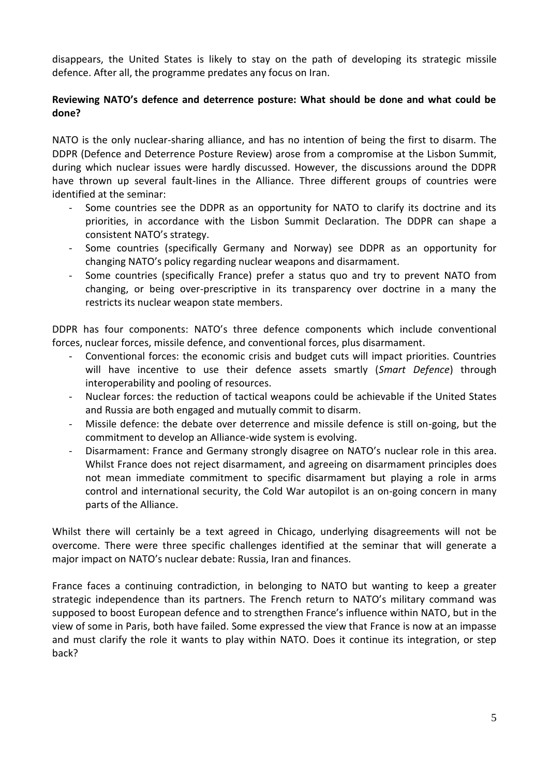disappears, the United States is likely to stay on the path of developing its strategic missile defence. After all, the programme predates any focus on Iran.

#### **Reviewing NATO's defence and deterrence posture: What should be done and what could be done?**

NATO is the only nuclear-sharing alliance, and has no intention of being the first to disarm. The DDPR (Defence and Deterrence Posture Review) arose from a compromise at the Lisbon Summit, during which nuclear issues were hardly discussed. However, the discussions around the DDPR have thrown up several fault-lines in the Alliance. Three different groups of countries were identified at the seminar:

- Some countries see the DDPR as an opportunity for NATO to clarify its doctrine and its priorities, in accordance with the Lisbon Summit Declaration. The DDPR can shape a consistent NATO's strategy.
- Some countries (specifically Germany and Norway) see DDPR as an opportunity for changing NATO's policy regarding nuclear weapons and disarmament.
- Some countries (specifically France) prefer a status quo and try to prevent NATO from changing, or being over-prescriptive in its transparency over doctrine in a many the restricts its nuclear weapon state members.

DDPR has four components: NATO's three defence components which include conventional forces, nuclear forces, missile defence, and conventional forces, plus disarmament.

- Conventional forces: the economic crisis and budget cuts will impact priorities. Countries will have incentive to use their defence assets smartly (*Smart Defence*) through interoperability and pooling of resources.
- Nuclear forces: the reduction of tactical weapons could be achievable if the United States and Russia are both engaged and mutually commit to disarm.
- Missile defence: the debate over deterrence and missile defence is still on-going, but the commitment to develop an Alliance-wide system is evolving.
- Disarmament: France and Germany strongly disagree on NATO's nuclear role in this area. Whilst France does not reject disarmament, and agreeing on disarmament principles does not mean immediate commitment to specific disarmament but playing a role in arms control and international security, the Cold War autopilot is an on-going concern in many parts of the Alliance.

Whilst there will certainly be a text agreed in Chicago, underlying disagreements will not be overcome. There were three specific challenges identified at the seminar that will generate a major impact on NATO's nuclear debate: Russia, Iran and finances.

France faces a continuing contradiction, in belonging to NATO but wanting to keep a greater strategic independence than its partners. The French return to NATO's military command was supposed to boost European defence and to strengthen France's influence within NATO, but in the view of some in Paris, both have failed. Some expressed the view that France is now at an impasse and must clarify the role it wants to play within NATO. Does it continue its integration, or step back?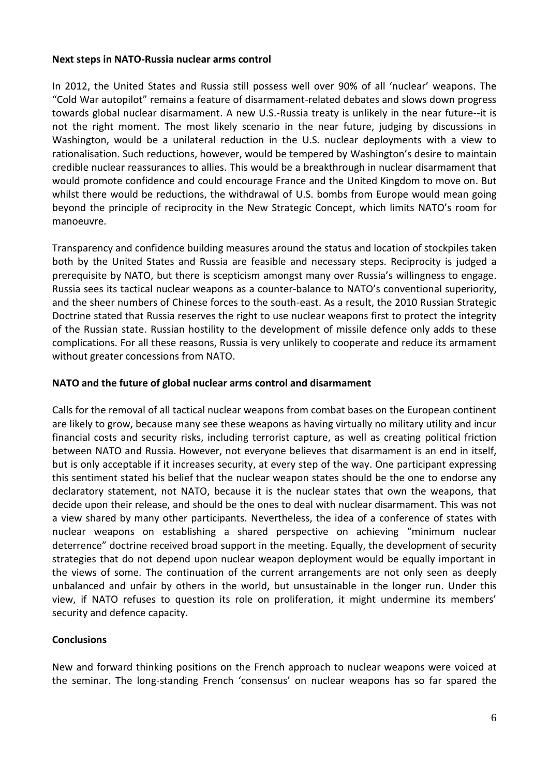#### **Next steps in NATO-Russia nuclear arms control**

In 2012, the United States and Russia still possess well over 90% of all 'nuclear' weapons. The "Cold War autopilot" remains a feature of disarmament-related debates and slows down progress towards global nuclear disarmament. A new U.S.-Russia treaty is unlikely in the near future--it is not the right moment. The most likely scenario in the near future, judging by discussions in Washington, would be a unilateral reduction in the U.S. nuclear deployments with a view to rationalisation. Such reductions, however, would be tempered by Washington's desire to maintain credible nuclear reassurances to allies. This would be a breakthrough in nuclear disarmament that would promote confidence and could encourage France and the United Kingdom to move on. But whilst there would be reductions, the withdrawal of U.S. bombs from Europe would mean going beyond the principle of reciprocity in the New Strategic Concept, which limits NATO's room for manoeuvre.

Transparency and confidence building measures around the status and location of stockpiles taken both by the United States and Russia are feasible and necessary steps. Reciprocity is judged a prerequisite by NATO, but there is scepticism amongst many over Russia's willingness to engage. Russia sees its tactical nuclear weapons as a counter-balance to NATO's conventional superiority, and the sheer numbers of Chinese forces to the south-east. As a result, the 2010 Russian Strategic Doctrine stated that Russia reserves the right to use nuclear weapons first to protect the integrity of the Russian state. Russian hostility to the development of missile defence only adds to these complications. For all these reasons, Russia is very unlikely to cooperate and reduce its armament without greater concessions from NATO.

#### **NATO and the future of global nuclear arms control and disarmament**

Calls for the removal of all tactical nuclear weapons from combat bases on the European continent are likely to grow, because many see these weapons as having virtually no military utility and incur financial costs and security risks, including terrorist capture, as well as creating political friction between NATO and Russia. However, not everyone believes that disarmament is an end in itself, but is only acceptable if it increases security, at every step of the way. One participant expressing this sentiment stated his belief that the nuclear weapon states should be the one to endorse any declaratory statement, not NATO, because it is the nuclear states that own the weapons, that decide upon their release, and should be the ones to deal with nuclear disarmament. This was not a view shared by many other participants. Nevertheless, the idea of a conference of states with nuclear weapons on establishing a shared perspective on achieving "minimum nuclear deterrence" doctrine received broad support in the meeting. Equally, the development of security strategies that do not depend upon nuclear weapon deployment would be equally important in the views of some. The continuation of the current arrangements are not only seen as deeply unbalanced and unfair by others in the world, but unsustainable in the longer run. Under this view, if NATO refuses to question its role on proliferation, it might undermine its members' security and defence capacity.

#### **Conclusions**

New and forward thinking positions on the French approach to nuclear weapons were voiced at the seminar. The long-standing French 'consensus' on nuclear weapons has so far spared the